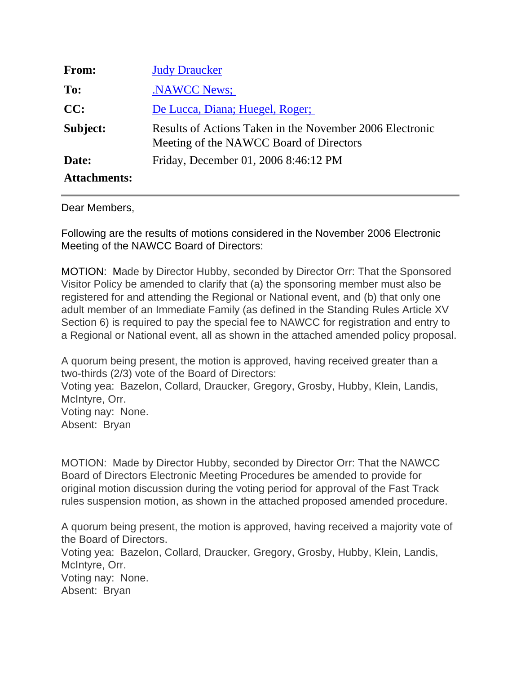| From:               | <b>Judy Draucker</b>                                                                                |
|---------------------|-----------------------------------------------------------------------------------------------------|
| To:                 | <b>NAWCC News:</b>                                                                                  |
| CC:                 | De Lucca, Diana; Huegel, Roger;                                                                     |
| Subject:            | Results of Actions Taken in the November 2006 Electronic<br>Meeting of the NAWCC Board of Directors |
| Date:               | Friday, December 01, 2006 8:46:12 PM                                                                |
| <b>Attachments:</b> |                                                                                                     |

## Dear Members,

Following are the results of motions considered in the November 2006 Electronic Meeting of the NAWCC Board of Directors:

MOTION: Made by Director Hubby, seconded by Director Orr: That the Sponsored Visitor Policy be amended to clarify that (a) the sponsoring member must also be registered for and attending the Regional or National event, and (b) that only one adult member of an Immediate Family (as defined in the Standing Rules Article XV Section 6) is required to pay the special fee to NAWCC for registration and entry to a Regional or National event, all as shown in the attached amended policy proposal.

A quorum being present, the motion is approved, having received greater than a two-thirds (2/3) vote of the Board of Directors: Voting yea: Bazelon, Collard, Draucker, Gregory, Grosby, Hubby, Klein, Landis, McIntyre, Orr. Voting nay: None. Absent: Bryan

MOTION: Made by Director Hubby, seconded by Director Orr: That the NAWCC Board of Directors Electronic Meeting Procedures be amended to provide for original motion discussion during the voting period for approval of the Fast Track rules suspension motion, as shown in the attached proposed amended procedure.

A quorum being present, the motion is approved, having received a majority vote of the Board of Directors.

Voting yea: Bazelon, Collard, Draucker, Gregory, Grosby, Hubby, Klein, Landis, McIntyre, Orr. Voting nay: None.

Absent: Bryan